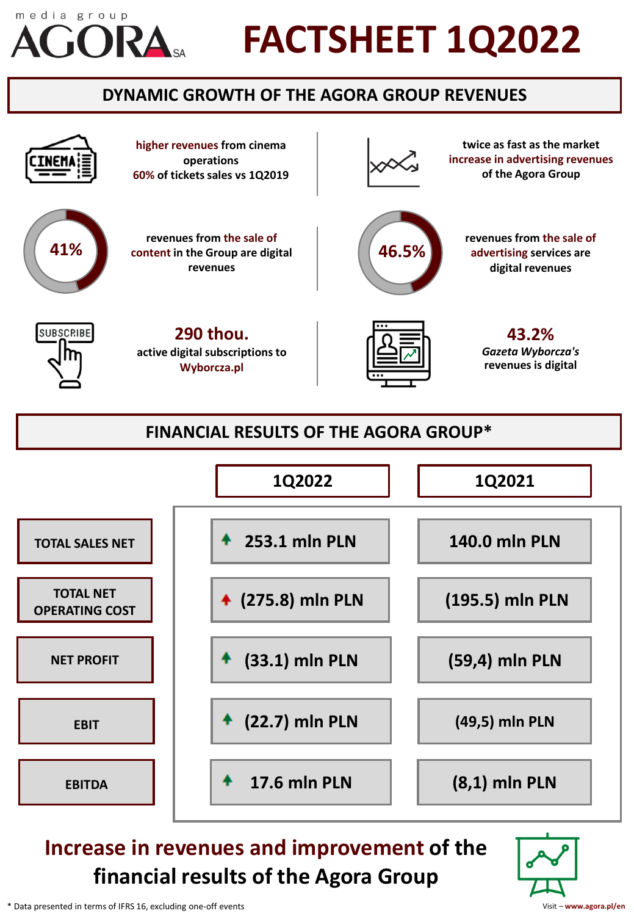# media group

# **FACTSHEET 1Q2022**

# **DYNAMIC GROWTH OF THE AGORA GROUP REVENUES**





# **Increase in revenues and improvement of the financial results of the Agora Group**